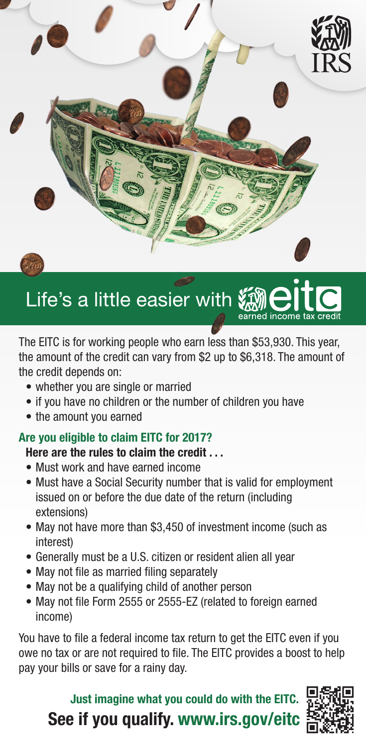

# Life's a little easier with

The EITC is for working people who earn less than \$53,930. This year, the amount of the credit can vary from \$2 up to \$6,318. The amount of the credit depends on:

- whether you are single or married
- if you have no children or the number of children you have
- the amount you earned

## Are you eligible to claim EITC for 2017?

#### Here are the rules to claim the credit . . .

- Must work and have earned income
- Must have a Social Security number that is valid for employment issued on or before the due date of the return (including extensions)
- May not have more than \$3,450 of investment income (such as interest)
- Generally must be a U.S. citizen or resident alien all year
- May not file as married filing separately
- May not be a qualifying child of another person
- May not file Form 2555 or 2555-EZ (related to foreign earned income)

You have to file a federal income tax return to get the EITC even if you owe no tax or are not required to file. The EITC provides a boost to help pay your bills or save for a rainy day.

See if you qualify. [www.irs.gov/eitc](http://www.irs.gov/eitc) Just imagine what you could do with the EITC.